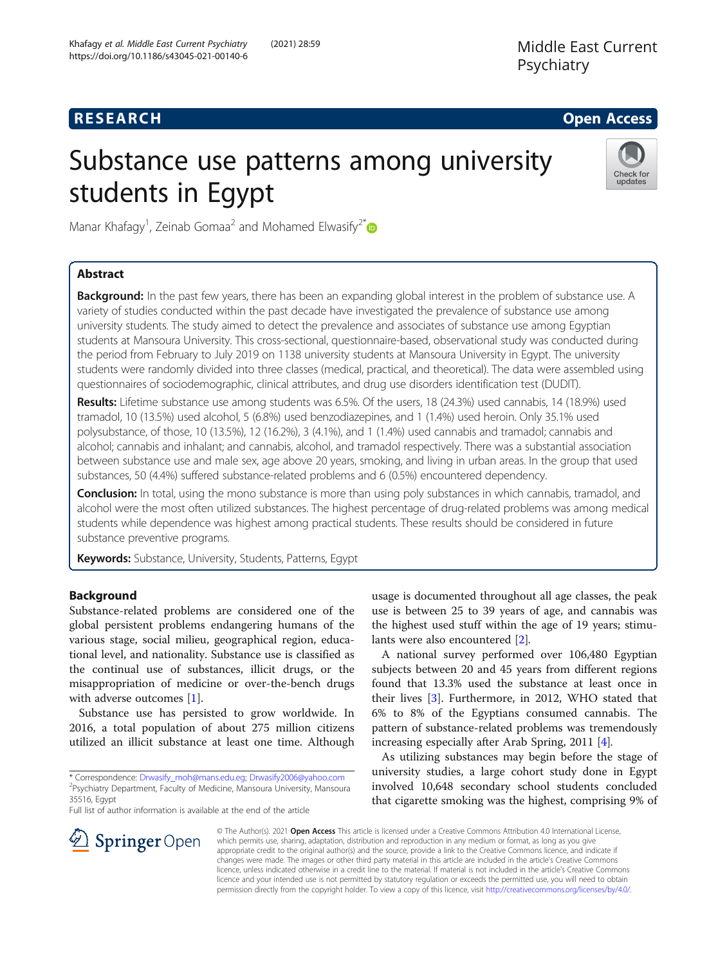# **RESEARCH CHE Open Access**

# Substance use patterns among university students in Egypt



Manar Khafagy<sup>1</sup>, Zeinab Gomaa<sup>2</sup> and Mohamed Elwasify<sup>2[\\*](http://orcid.org/0000-0002-8429-491X)</sup>

# Abstract

Background: In the past few years, there has been an expanding global interest in the problem of substance use. A variety of studies conducted within the past decade have investigated the prevalence of substance use among university students. The study aimed to detect the prevalence and associates of substance use among Egyptian students at Mansoura University. This cross-sectional, questionnaire-based, observational study was conducted during the period from February to July 2019 on 1138 university students at Mansoura University in Egypt. The university students were randomly divided into three classes (medical, practical, and theoretical). The data were assembled using questionnaires of sociodemographic, clinical attributes, and drug use disorders identification test (DUDIT).

Results: Lifetime substance use among students was 6.5%. Of the users, 18 (24.3%) used cannabis, 14 (18.9%) used tramadol, 10 (13.5%) used alcohol, 5 (6.8%) used benzodiazepines, and 1 (1.4%) used heroin. Only 35.1% used polysubstance, of those, 10 (13.5%), 12 (16.2%), 3 (4.1%), and 1 (1.4%) used cannabis and tramadol; cannabis and alcohol; cannabis and inhalant; and cannabis, alcohol, and tramadol respectively. There was a substantial association between substance use and male sex, age above 20 years, smoking, and living in urban areas. In the group that used substances, 50 (4.4%) suffered substance-related problems and 6 (0.5%) encountered dependency.

**Conclusion:** In total, using the mono substance is more than using poly substances in which cannabis, tramadol, and alcohol were the most often utilized substances. The highest percentage of drug-related problems was among medical students while dependence was highest among practical students. These results should be considered in future substance preventive programs.

Keywords: Substance, University, Students, Patterns, Egypt

# Background

Substance-related problems are considered one of the global persistent problems endangering humans of the various stage, social milieu, geographical region, educational level, and nationality. Substance use is classified as the continual use of substances, illicit drugs, or the misappropriation of medicine or over-the-bench drugs with adverse outcomes [\[1](#page-7-0)].

Substance use has persisted to grow worldwide. In 2016, a total population of about 275 million citizens utilized an illicit substance at least one time. Although

Full list of author information is available at the end of the article

usage is documented throughout all age classes, the peak use is between 25 to 39 years of age, and cannabis was the highest used stuff within the age of 19 years; stimulants were also encountered [\[2](#page-7-0)].

A national survey performed over 106,480 Egyptian subjects between 20 and 45 years from different regions found that 13.3% used the substance at least once in their lives [\[3](#page-7-0)]. Furthermore, in 2012, WHO stated that 6% to 8% of the Egyptians consumed cannabis. The pattern of substance-related problems was tremendously increasing especially after Arab Spring, 2011 [[4](#page-7-0)].

As utilizing substances may begin before the stage of university studies, a large cohort study done in Egypt involved 10,648 secondary school students concluded that cigarette smoking was the highest, comprising 9% of



© The Author(s). 2021 Open Access This article is licensed under a Creative Commons Attribution 4.0 International License, which permits use, sharing, adaptation, distribution and reproduction in any medium or format, as long as you give appropriate credit to the original author(s) and the source, provide a link to the Creative Commons licence, and indicate if changes were made. The images or other third party material in this article are included in the article's Creative Commons licence, unless indicated otherwise in a credit line to the material. If material is not included in the article's Creative Commons licence and your intended use is not permitted by statutory regulation or exceeds the permitted use, you will need to obtain permission directly from the copyright holder. To view a copy of this licence, visit <http://creativecommons.org/licenses/by/4.0/>.

<sup>\*</sup> Correspondence: [Drwasify\\_moh@mans.edu.eg;](mailto:Drwasify_moh@mans.edu.eg) [Drwasify2006@yahoo.com](mailto:Drwasify2006@yahoo.com) <sup>2</sup> <sup>2</sup>Psychiatry Department, Faculty of Medicine, Mansoura University, Mansoura 35516, Egypt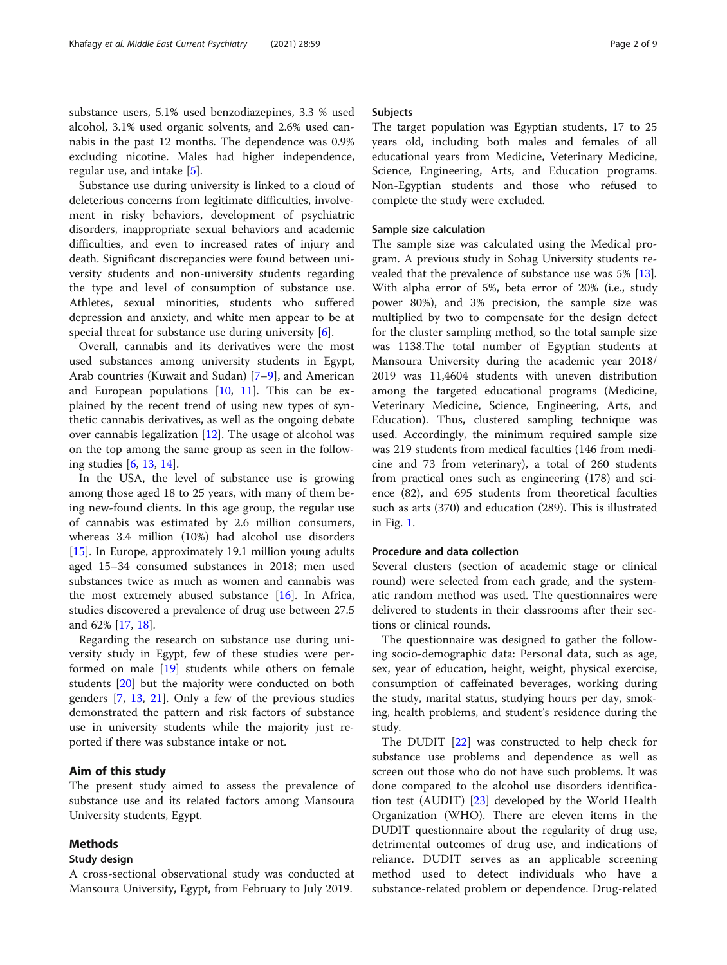substance users, 5.1% used benzodiazepines, 3.3 % used alcohol, 3.1% used organic solvents, and 2.6% used cannabis in the past 12 months. The dependence was 0.9% excluding nicotine. Males had higher independence, regular use, and intake [[5\]](#page-7-0).

Substance use during university is linked to a cloud of deleterious concerns from legitimate difficulties, involvement in risky behaviors, development of psychiatric disorders, inappropriate sexual behaviors and academic difficulties, and even to increased rates of injury and death. Significant discrepancies were found between university students and non-university students regarding the type and level of consumption of substance use. Athletes, sexual minorities, students who suffered depression and anxiety, and white men appear to be at special threat for substance use during university [[6](#page-7-0)].

Overall, cannabis and its derivatives were the most used substances among university students in Egypt, Arab countries (Kuwait and Sudan) [\[7](#page-7-0)–[9](#page-7-0)], and American and European populations [\[10](#page-7-0), [11](#page-7-0)]. This can be explained by the recent trend of using new types of synthetic cannabis derivatives, as well as the ongoing debate over cannabis legalization  $[12]$  $[12]$ . The usage of alcohol was on the top among the same group as seen in the following studies [[6,](#page-7-0) [13](#page-7-0), [14](#page-7-0)].

In the USA, the level of substance use is growing among those aged 18 to 25 years, with many of them being new-found clients. In this age group, the regular use of cannabis was estimated by 2.6 million consumers, whereas 3.4 million (10%) had alcohol use disorders [[15\]](#page-7-0). In Europe, approximately 19.1 million young adults aged 15–34 consumed substances in 2018; men used substances twice as much as women and cannabis was the most extremely abused substance [[16](#page-7-0)]. In Africa, studies discovered a prevalence of drug use between 27.5 and 62% [\[17](#page-7-0), [18](#page-8-0)].

Regarding the research on substance use during university study in Egypt, few of these studies were performed on male [\[19\]](#page-8-0) students while others on female students [\[20\]](#page-8-0) but the majority were conducted on both genders [[7,](#page-7-0) [13,](#page-7-0) [21](#page-8-0)]. Only a few of the previous studies demonstrated the pattern and risk factors of substance use in university students while the majority just reported if there was substance intake or not.

# Aim of this study

The present study aimed to assess the prevalence of substance use and its related factors among Mansoura University students, Egypt.

# Methods

#### Study design

A cross-sectional observational study was conducted at Mansoura University, Egypt, from February to July 2019.

# Subjects

The target population was Egyptian students, 17 to 25 years old, including both males and females of all educational years from Medicine, Veterinary Medicine, Science, Engineering, Arts, and Education programs. Non-Egyptian students and those who refused to complete the study were excluded.

### Sample size calculation

The sample size was calculated using the Medical program. A previous study in Sohag University students revealed that the prevalence of substance use was 5% [\[13](#page-7-0)]. With alpha error of 5%, beta error of 20% (i.e., study power 80%), and 3% precision, the sample size was multiplied by two to compensate for the design defect for the cluster sampling method, so the total sample size was 1138.The total number of Egyptian students at Mansoura University during the academic year 2018/ 2019 was 11,4604 students with uneven distribution among the targeted educational programs (Medicine, Veterinary Medicine, Science, Engineering, Arts, and Education). Thus, clustered sampling technique was used. Accordingly, the minimum required sample size was 219 students from medical faculties (146 from medicine and 73 from veterinary), a total of 260 students from practical ones such as engineering (178) and science (82), and 695 students from theoretical faculties such as arts (370) and education (289). This is illustrated in Fig. [1](#page-2-0).

# Procedure and data collection

Several clusters (section of academic stage or clinical round) were selected from each grade, and the systematic random method was used. The questionnaires were delivered to students in their classrooms after their sections or clinical rounds.

The questionnaire was designed to gather the following socio-demographic data: Personal data, such as age, sex, year of education, height, weight, physical exercise, consumption of caffeinated beverages, working during the study, marital status, studying hours per day, smoking, health problems, and student's residence during the study.

The DUDIT [[22\]](#page-8-0) was constructed to help check for substance use problems and dependence as well as screen out those who do not have such problems. It was done compared to the alcohol use disorders identification test (AUDIT) [\[23\]](#page-8-0) developed by the World Health Organization (WHO). There are eleven items in the DUDIT questionnaire about the regularity of drug use, detrimental outcomes of drug use, and indications of reliance. DUDIT serves as an applicable screening method used to detect individuals who have a substance-related problem or dependence. Drug-related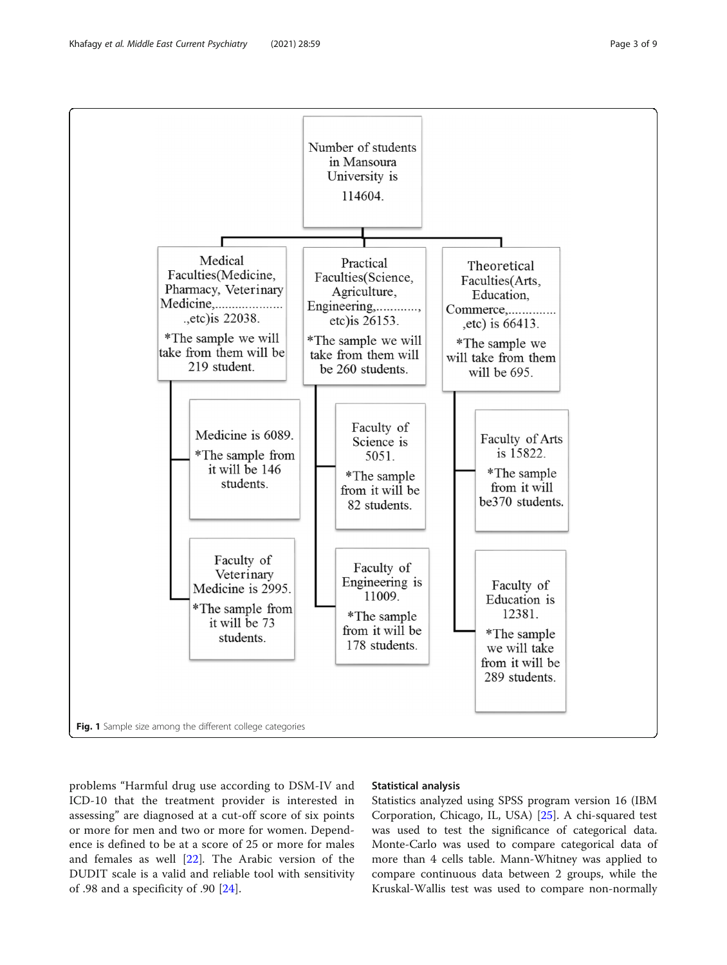<span id="page-2-0"></span>

problems "Harmful drug use according to DSM-IV and ICD-10 that the treatment provider is interested in assessing" are diagnosed at a cut-off score of six points or more for men and two or more for women. Dependence is defined to be at a score of 25 or more for males and females as well [[22\]](#page-8-0). The Arabic version of the DUDIT scale is a valid and reliable tool with sensitivity of .98 and a specificity of .90 [\[24](#page-8-0)].

## Statistical analysis

Statistics analyzed using SPSS program version 16 (IBM Corporation, Chicago, IL, USA) [\[25](#page-8-0)]. A chi-squared test was used to test the significance of categorical data. Monte-Carlo was used to compare categorical data of more than 4 cells table. Mann-Whitney was applied to compare continuous data between 2 groups, while the Kruskal-Wallis test was used to compare non-normally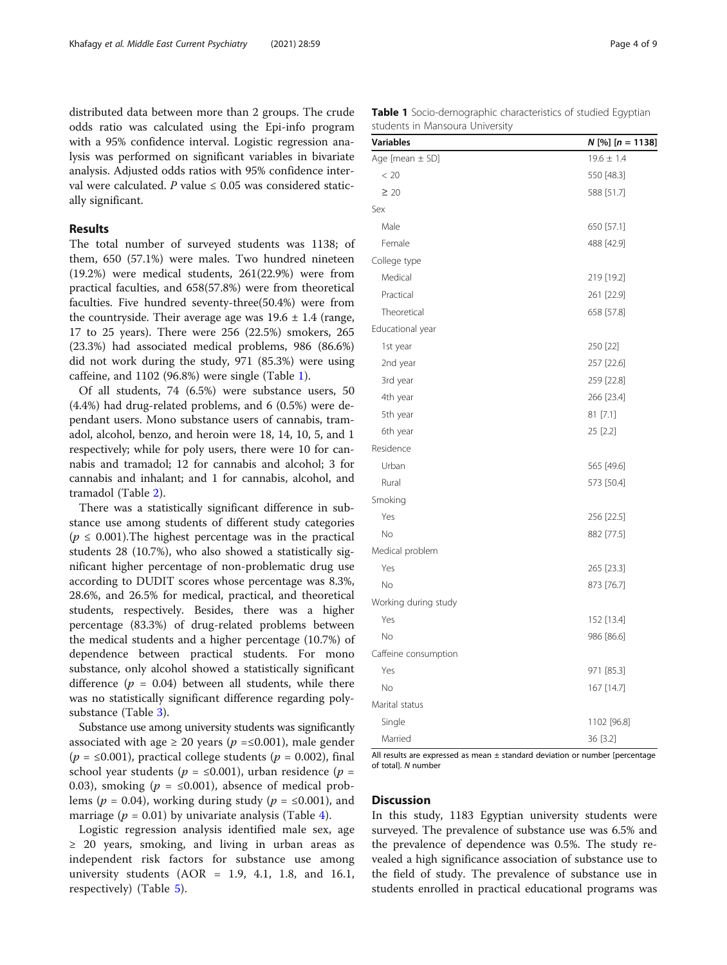distributed data between more than 2 groups. The crude odds ratio was calculated using the Epi-info program with a 95% confidence interval. Logistic regression analysis was performed on significant variables in bivariate analysis. Adjusted odds ratios with 95% confidence interval were calculated.  $P$  value ≤ 0.05 was considered statically significant.

# Results

The total number of surveyed students was 1138; of them, 650 (57.1%) were males. Two hundred nineteen (19.2%) were medical students, 261(22.9%) were from practical faculties, and 658(57.8%) were from theoretical faculties. Five hundred seventy-three(50.4%) were from the countryside. Their average age was  $19.6 \pm 1.4$  (range, 17 to 25 years). There were 256 (22.5%) smokers, 265 (23.3%) had associated medical problems, 986 (86.6%) did not work during the study, 971 (85.3%) were using caffeine, and 1102 (96.8%) were single (Table 1).

Of all students, 74 (6.5%) were substance users, 50 (4.4%) had drug-related problems, and 6 (0.5%) were dependant users. Mono substance users of cannabis, tramadol, alcohol, benzo, and heroin were 18, 14, 10, 5, and 1 respectively; while for poly users, there were 10 for cannabis and tramadol; 12 for cannabis and alcohol; 3 for cannabis and inhalant; and 1 for cannabis, alcohol, and tramadol (Table [2](#page-4-0)).

There was a statistically significant difference in substance use among students of different study categories  $(p \le 0.001)$ . The highest percentage was in the practical students 28 (10.7%), who also showed a statistically significant higher percentage of non-problematic drug use according to DUDIT scores whose percentage was 8.3%, 28.6%, and 26.5% for medical, practical, and theoretical students, respectively. Besides, there was a higher percentage (83.3%) of drug-related problems between the medical students and a higher percentage (10.7%) of dependence between practical students. For mono substance, only alcohol showed a statistically significant difference ( $p = 0.04$ ) between all students, while there was no statistically significant difference regarding polysubstance (Table [3](#page-4-0)).

Substance use among university students was significantly associated with age  $\geq 20$  years ( $p = \leq 0.001$ ), male gender  $(p = \le 0.001)$ , practical college students  $(p = 0.002)$ , final school year students ( $p = \le 0.001$ ), urban residence ( $p =$ 0.03), smoking ( $p = \le 0.001$ ), absence of medical problems ( $p = 0.04$ ), working during study ( $p = \le 0.001$ ), and marriage ( $p = 0.01$ ) by univariate analysis (Table [4](#page-5-0)).

Logistic regression analysis identified male sex, age ≥ 20 years, smoking, and living in urban areas as independent risk factors for substance use among university students  $(AOR = 1.9, 4.1, 1.8, and 16.1,$ respectively) (Table [5](#page-6-0)).

Table 1 Socio-demographic characteristics of studied Egyptian students in Mansoura University

| <b>Variables</b>     | $N$ [%] [ $n = 1138$ ] |
|----------------------|------------------------|
| Age [mean $\pm$ SD]  | $19.6 \pm 1.4$         |
| < 20                 | 550 [48.3]             |
| $\geq 20$            | 588 [51.7]             |
| Sex                  |                        |
| Male                 | 650 [57.1]             |
| Female               | 488 [42.9]             |
| College type         |                        |
| Medical              | 219 [19.2]             |
| Practical            | 261 [22.9]             |
| Theoretical          | 658 [57.8]             |
| Educational year     |                        |
| 1st year             | 250 [22]               |
| 2nd year             | 257 [22.6]             |
| 3rd year             | 259 [22.8]             |
| 4th year             | 266 [23.4]             |
| 5th year             | 81 [7.1]               |
| 6th year             | 25 [2.2]               |
| Residence            |                        |
| Urban                | 565 [49.6]             |
| Rural                | 573 [50.4]             |
| Smoking              |                        |
| Yes                  | 256 [22.5]             |
| No                   | 882 [77.5]             |
| Medical problem      |                        |
| Yes                  | 265 [23.3]             |
| No                   | 873 [76.7]             |
| Working during study |                        |
| Yes                  | 152 [13.4]             |
| No                   | 986 [86.6]             |
| Caffeine consumption |                        |
| Yes                  | 971 [85.3]             |
| No                   | 167 [14.7]             |
| Marital status       |                        |
| Single               | 1102 [96.8]            |
| Married              | 36 [3.2]               |

All results are expressed as mean  $\pm$  standard deviation or number [percentage of total]. N number

# **Discussion**

In this study, 1183 Egyptian university students were surveyed. The prevalence of substance use was 6.5% and the prevalence of dependence was 0.5%. The study revealed a high significance association of substance use to the field of study. The prevalence of substance use in students enrolled in practical educational programs was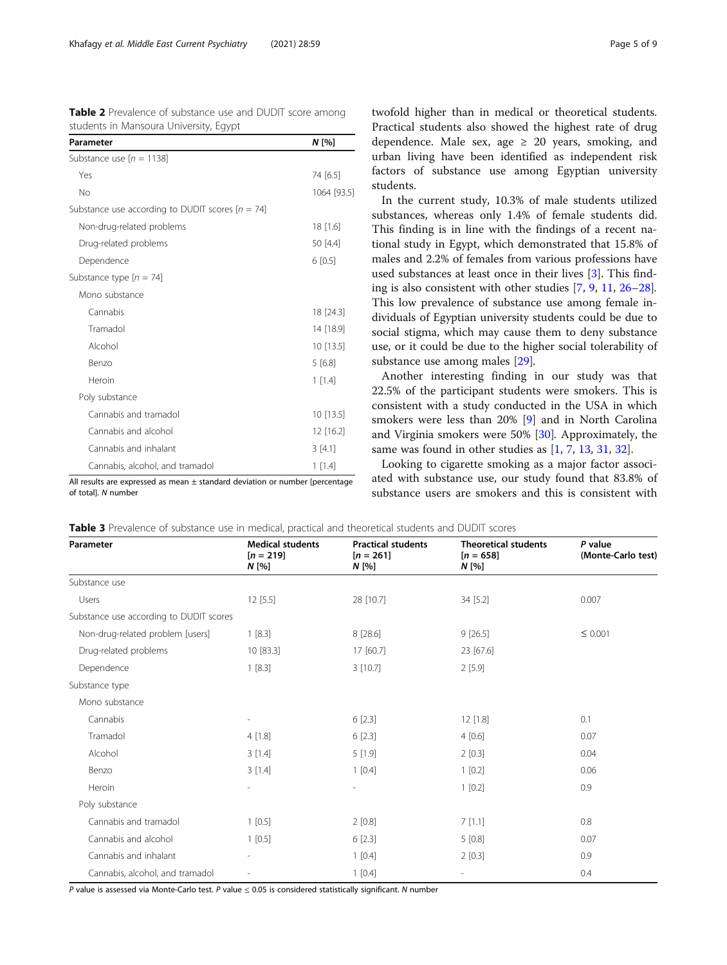<span id="page-4-0"></span>

|  | Table 2 Prevalence of substance use and DUDIT score among |  |  |
|--|-----------------------------------------------------------|--|--|
|  | students in Mansoura University, Egypt                    |  |  |

| Parameter                                          | $N$ [%]     |
|----------------------------------------------------|-------------|
| Substance use $[n = 1138]$                         |             |
| Yes                                                | 74 [6.5]    |
| <b>No</b>                                          | 1064 [93.5] |
| Substance use according to DUDIT scores $[n = 74]$ |             |
| Non-drug-related problems                          | 18 [1.6]    |
| Drug-related problems                              | 50 [4.4]    |
| Dependence                                         | 6[0.5]      |
| Substance type $[n = 74]$                          |             |
| Mono substance                                     |             |
| Cannabis                                           | 18 [24.3]   |
| Tramadol                                           | 14 [18.9]   |
| Alcohol                                            | 10 [13.5]   |
| <b>Benzo</b>                                       | 5[6.8]      |
| Heroin                                             | 1 [1.4]     |
| Poly substance                                     |             |
| Cannabis and tramadol                              | 10 [13.5]   |
| Cannabis and alcohol                               | 12 [16.2]   |
| Cannabis and inhalant                              | 3[4.1]      |
| Cannabis, alcohol, and tramadol                    | 1 [1.4]     |

All results are expressed as mean ± standard deviation or number [percentage of total]. N number

twofold higher than in medical or theoretical students. Practical students also showed the highest rate of drug dependence. Male sex, age  $\geq$  20 years, smoking, and urban living have been identified as independent risk factors of substance use among Egyptian university students.

In the current study, 10.3% of male students utilized substances, whereas only 1.4% of female students did. This finding is in line with the findings of a recent national study in Egypt, which demonstrated that 15.8% of males and 2.2% of females from various professions have used substances at least once in their lives [\[3](#page-7-0)]. This finding is also consistent with other studies [[7,](#page-7-0) [9,](#page-7-0) [11,](#page-7-0) [26](#page-8-0)–[28](#page-8-0)]. This low prevalence of substance use among female individuals of Egyptian university students could be due to social stigma, which may cause them to deny substance use, or it could be due to the higher social tolerability of substance use among males [\[29\]](#page-8-0).

Another interesting finding in our study was that 22.5% of the participant students were smokers. This is consistent with a study conducted in the USA in which smokers were less than 20% [\[9](#page-7-0)] and in North Carolina and Virginia smokers were 50% [\[30](#page-8-0)]. Approximately, the same was found in other studies as [\[1](#page-7-0), [7](#page-7-0), [13](#page-7-0), [31,](#page-8-0) [32\]](#page-8-0).

Looking to cigarette smoking as a major factor associated with substance use, our study found that 83.8% of substance users are smokers and this is consistent with

| Table 3 Prevalence of substance use in medical, practical and theoretical students and DUDIT scores |  |  |  |  |  |
|-----------------------------------------------------------------------------------------------------|--|--|--|--|--|
|-----------------------------------------------------------------------------------------------------|--|--|--|--|--|

| Parameter                               | <b>Medical students</b><br>$[n = 219]$<br>N [%] | <b>Practical students</b><br>$[n = 261]$<br>N [%] | <b>Theoretical students</b><br>$[n = 658]$<br>N [%] | P value<br>(Monte-Carlo test) |
|-----------------------------------------|-------------------------------------------------|---------------------------------------------------|-----------------------------------------------------|-------------------------------|
| Substance use                           |                                                 |                                                   |                                                     |                               |
| Users                                   | 12[5.5]                                         | 28 [10.7]                                         | 34 [5.2]                                            | 0.007                         |
| Substance use according to DUDIT scores |                                                 |                                                   |                                                     |                               |
| Non-drug-related problem [users]        | 1[8.3]                                          | 8 [28.6]                                          | 9[26.5]                                             | $\leq 0.001$                  |
| Drug-related problems                   | 10 [83.3]                                       | 17 [60.7]                                         | 23 [67.6]                                           |                               |
| Dependence                              | 1 [8.3]                                         | 3 [10.7]                                          | 2[5.9]                                              |                               |
| Substance type                          |                                                 |                                                   |                                                     |                               |
| Mono substance                          |                                                 |                                                   |                                                     |                               |
| Cannabis                                | -                                               | 6[2.3]                                            | 12 [1.8]                                            | 0.1                           |
| Tramadol                                | 4[1.8]                                          | 6[2.3]                                            | 4[0.6]                                              | 0.07                          |
| Alcohol                                 | 3 [1.4]                                         | 5[1.9]                                            | 2[0.3]                                              | 0.04                          |
| Benzo                                   | 3[1.4]                                          | 1 [0.4]                                           | 1 [0.2]                                             | 0.06                          |
| Heroin                                  | $\overline{\phantom{a}}$                        | $\overline{\phantom{a}}$                          | 1[0.2]                                              | 0.9                           |
| Poly substance                          |                                                 |                                                   |                                                     |                               |
| Cannabis and tramadol                   | 1[0.5]                                          | 2[0.8]                                            | 7[1.1]                                              | 0.8                           |
| Cannabis and alcohol                    | 1[0.5]                                          | 6[2.3]                                            | 5[0.8]                                              | 0.07                          |
| Cannabis and inhalant                   |                                                 | 1 [0.4]                                           | 2[0.3]                                              | 0.9                           |
| Cannabis, alcohol, and tramadol         | $\overline{a}$                                  | 1 [0.4]                                           | $\overline{\phantom{a}}$                            | 0.4                           |

P value is assessed via Monte-Carlo test. P value  $\leq 0.05$  is considered statistically significant. N number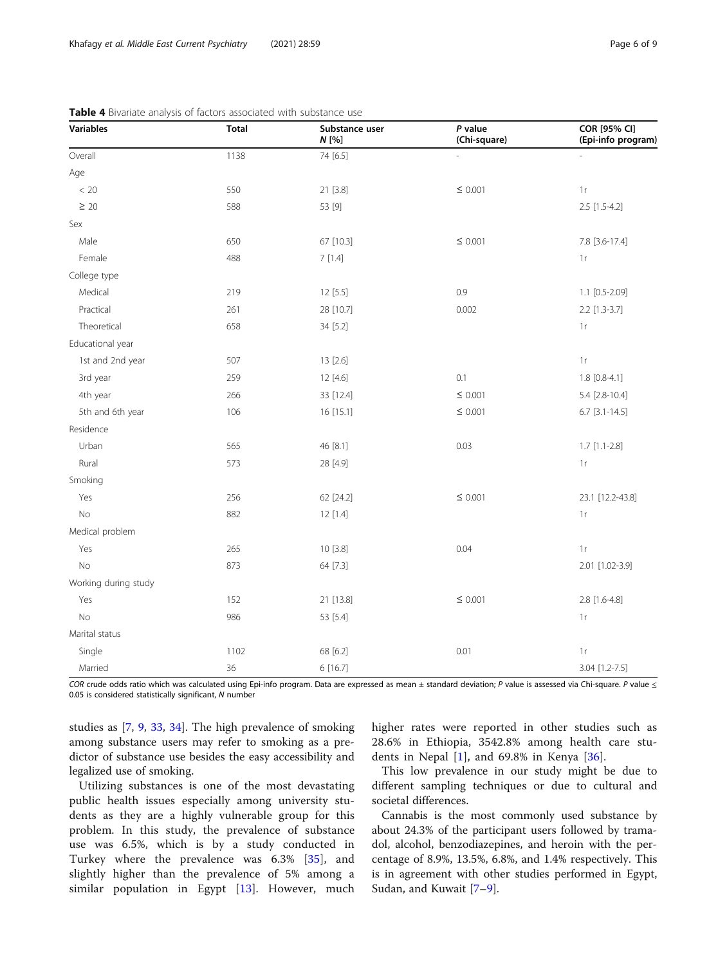| Variables            | <b>Total</b> | Substance user<br>$N$ [%] | $P$ value<br>(Chi-square) | COR [95% CI]<br>(Epi-info program) |
|----------------------|--------------|---------------------------|---------------------------|------------------------------------|
| Overall              | 1138         | 74 [6.5]                  |                           |                                    |
| Age                  |              |                           |                           |                                    |
| $< 20\,$             | 550          | 21 [3.8]                  | $\leq$ 0.001              | $1\,\mathrm{r}$                    |
| $\geq 20$            | 588          | 53 [9]                    |                           | 2.5 [1.5-4.2]                      |
| Sex                  |              |                           |                           |                                    |
| Male                 | 650          | 67 [10.3]                 | $\leq$ 0.001              | 7.8 [3.6-17.4]                     |
| Female               | 488          | 7[1.4]                    |                           | 1r                                 |
| College type         |              |                           |                           |                                    |
| Medical              | 219          | 12 [5.5]                  | 0.9                       | $1.1$ [0.5-2.09]                   |
| Practical            | 261          | 28 [10.7]                 | 0.002                     | 2.2 [1.3-3.7]                      |
| Theoretical          | 658          | 34 [5.2]                  |                           | $1r$                               |
| Educational year     |              |                           |                           |                                    |
| 1st and 2nd year     | 507          | 13 [2.6]                  |                           | $1\,\mathrm{r}$                    |
| 3rd year             | 259          | 12 [4.6]                  | 0.1                       | $1.8$ [0.8-4.1]                    |
| 4th year             | 266          | 33 [12.4]                 | $\leq$ 0.001              | 5.4 [2.8-10.4]                     |
| 5th and 6th year     | 106          | 16 [15.1]                 | $\leq$ 0.001              | $6.7$ [3.1-14.5]                   |
| Residence            |              |                           |                           |                                    |
| Urban                | 565          | 46 [8.1]                  | 0.03                      | $1.7$ [1.1-2.8]                    |
| Rural                | 573          | 28 [4.9]                  |                           | 1r                                 |
| Smoking              |              |                           |                           |                                    |
| Yes                  | 256          | 62 [24.2]                 | $\leq 0.001$              | 23.1 [12.2-43.8]                   |
| No                   | 882          | 12 [1.4]                  |                           | 1r                                 |
| Medical problem      |              |                           |                           |                                    |
| Yes                  | 265          | 10 [3.8]                  | 0.04                      | 1r                                 |
| No                   | 873          | 64 [7.3]                  |                           | 2.01 [1.02-3.9]                    |
| Working during study |              |                           |                           |                                    |
| Yes                  | 152          | 21 [13.8]                 | $\leq$ 0.001              | 2.8 [1.6-4.8]                      |
| No                   | 986          | 53 [5.4]                  |                           | $1\,\mathrm{r}$                    |
| Marital status       |              |                           |                           |                                    |
| Single               | 1102         | 68 [6.2]                  | 0.01                      | $1\,\mathrm{r}$                    |
| Married              | 36           | 6 [16.7]                  |                           | 3.04 [1.2-7.5]                     |

<span id="page-5-0"></span>

COR crude odds ratio which was calculated using Epi-info program. Data are expressed as mean ± standard deviation; P value is assessed via Chi-square. P value  $\leq$ 0.05 is considered statistically significant, N number

studies as [[7,](#page-7-0) [9](#page-7-0), [33](#page-8-0), [34\]](#page-8-0). The high prevalence of smoking among substance users may refer to smoking as a predictor of substance use besides the easy accessibility and legalized use of smoking.

Utilizing substances is one of the most devastating public health issues especially among university students as they are a highly vulnerable group for this problem. In this study, the prevalence of substance use was 6.5%, which is by a study conducted in Turkey where the prevalence was 6.3% [\[35](#page-8-0)], and slightly higher than the prevalence of 5% among a similar population in Egypt [\[13](#page-7-0)]. However, much higher rates were reported in other studies such as 28.6% in Ethiopia, 3542.8% among health care students in Nepal [[1\]](#page-7-0), and 69.8% in Kenya [\[36](#page-8-0)].

This low prevalence in our study might be due to different sampling techniques or due to cultural and societal differences.

Cannabis is the most commonly used substance by about 24.3% of the participant users followed by tramadol, alcohol, benzodiazepines, and heroin with the percentage of 8.9%, 13.5%, 6.8%, and 1.4% respectively. This is in agreement with other studies performed in Egypt, Sudan, and Kuwait [\[7](#page-7-0)–[9\]](#page-7-0).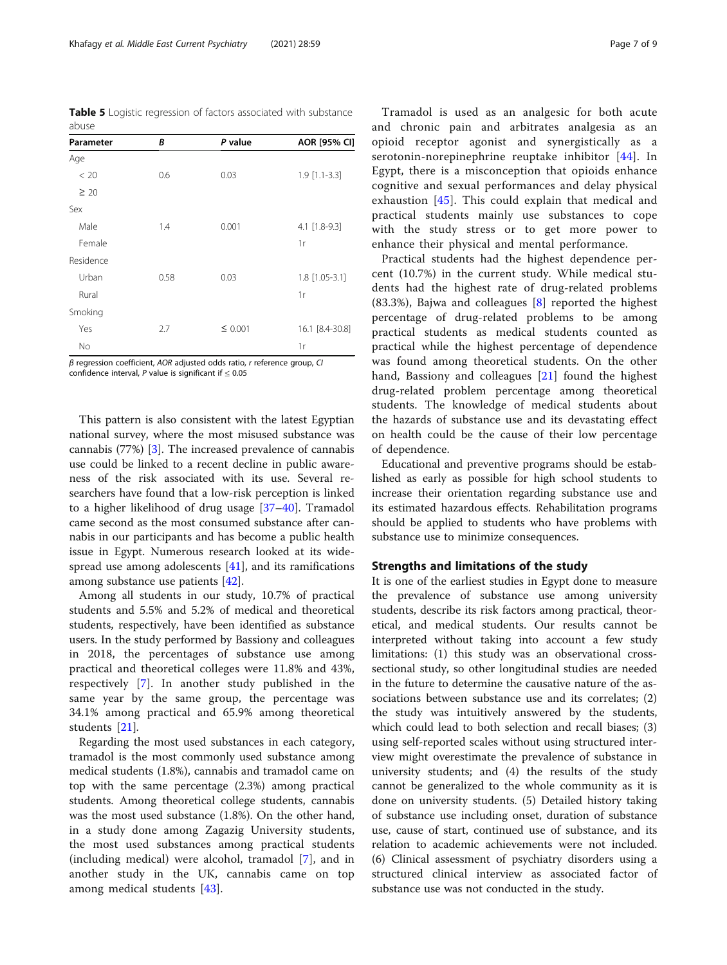<span id="page-6-0"></span>Table 5 Logistic regression of factors associated with substance abuse

| Parameter | B    | P value      | AOR [95% CI]    |
|-----------|------|--------------|-----------------|
| Age       |      |              |                 |
| < 20      | 0.6  | 0.03         | $1.9$ [1.1-3.3] |
| $\geq 20$ |      |              |                 |
| Sex       |      |              |                 |
| Male      | 1.4  | 0.001        | 4.1 [1.8-9.3]   |
| Female    |      |              | 1r              |
| Residence |      |              |                 |
| Urban     | 0.58 | 0.03         | 1.8 [1.05-3.1]  |
| Rural     |      |              | 1r              |
| Smoking   |      |              |                 |
| Yes       | 2.7  | $\leq 0.001$ | 16.1 [8.4-30.8] |
| No        |      |              | 1r              |
|           |      |              |                 |

β regression coefficient, AOR adjusted odds ratio, r reference group, CI confidence interval,  $P$  value is significant if  $\leq 0.05$ 

This pattern is also consistent with the latest Egyptian national survey, where the most misused substance was cannabis (77%) [\[3](#page-7-0)]. The increased prevalence of cannabis use could be linked to a recent decline in public awareness of the risk associated with its use. Several researchers have found that a low-risk perception is linked to a higher likelihood of drug usage [[37](#page-8-0)–[40](#page-8-0)]. Tramadol came second as the most consumed substance after cannabis in our participants and has become a public health issue in Egypt. Numerous research looked at its widespread use among adolescents [[41\]](#page-8-0), and its ramifications among substance use patients [[42\]](#page-8-0).

Among all students in our study, 10.7% of practical students and 5.5% and 5.2% of medical and theoretical students, respectively, have been identified as substance users. In the study performed by Bassiony and colleagues in 2018, the percentages of substance use among practical and theoretical colleges were 11.8% and 43%, respectively [\[7](#page-7-0)]. In another study published in the same year by the same group, the percentage was 34.1% among practical and 65.9% among theoretical students [[21\]](#page-8-0).

Regarding the most used substances in each category, tramadol is the most commonly used substance among medical students (1.8%), cannabis and tramadol came on top with the same percentage (2.3%) among practical students. Among theoretical college students, cannabis was the most used substance (1.8%). On the other hand, in a study done among Zagazig University students, the most used substances among practical students (including medical) were alcohol, tramadol [\[7](#page-7-0)], and in another study in the UK, cannabis came on top among medical students [\[43](#page-8-0)].

Tramadol is used as an analgesic for both acute and chronic pain and arbitrates analgesia as an opioid receptor agonist and synergistically as a serotonin-norepinephrine reuptake inhibitor [\[44\]](#page-8-0). In Egypt, there is a misconception that opioids enhance cognitive and sexual performances and delay physical exhaustion [[45\]](#page-8-0). This could explain that medical and practical students mainly use substances to cope with the study stress or to get more power to enhance their physical and mental performance.

Practical students had the highest dependence percent (10.7%) in the current study. While medical students had the highest rate of drug-related problems (83.3%), Bajwa and colleagues  $[8]$  $[8]$  reported the highest percentage of drug-related problems to be among practical students as medical students counted as practical while the highest percentage of dependence was found among theoretical students. On the other hand, Bassiony and colleagues [[21\]](#page-8-0) found the highest drug-related problem percentage among theoretical students. The knowledge of medical students about the hazards of substance use and its devastating effect on health could be the cause of their low percentage of dependence.

Educational and preventive programs should be established as early as possible for high school students to increase their orientation regarding substance use and its estimated hazardous effects. Rehabilitation programs should be applied to students who have problems with substance use to minimize consequences.

# Strengths and limitations of the study

It is one of the earliest studies in Egypt done to measure the prevalence of substance use among university students, describe its risk factors among practical, theoretical, and medical students. Our results cannot be interpreted without taking into account a few study limitations: (1) this study was an observational crosssectional study, so other longitudinal studies are needed in the future to determine the causative nature of the associations between substance use and its correlates; (2) the study was intuitively answered by the students, which could lead to both selection and recall biases; (3) using self-reported scales without using structured interview might overestimate the prevalence of substance in university students; and (4) the results of the study cannot be generalized to the whole community as it is done on university students. (5) Detailed history taking of substance use including onset, duration of substance use, cause of start, continued use of substance, and its relation to academic achievements were not included. (6) Clinical assessment of psychiatry disorders using a structured clinical interview as associated factor of substance use was not conducted in the study.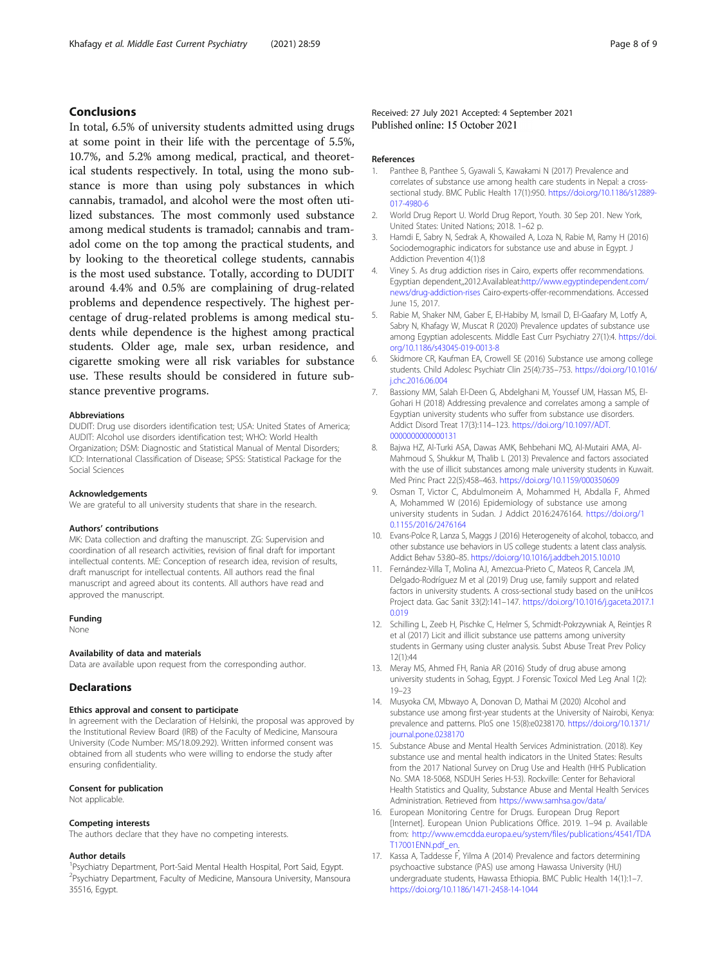# <span id="page-7-0"></span>Conclusions

In total, 6.5% of university students admitted using drugs at some point in their life with the percentage of 5.5%, 10.7%, and 5.2% among medical, practical, and theoretical students respectively. In total, using the mono substance is more than using poly substances in which cannabis, tramadol, and alcohol were the most often utilized substances. The most commonly used substance among medical students is tramadol; cannabis and tramadol come on the top among the practical students, and by looking to the theoretical college students, cannabis is the most used substance. Totally, according to DUDIT around 4.4% and 0.5% are complaining of drug-related problems and dependence respectively. The highest percentage of drug-related problems is among medical students while dependence is the highest among practical students. Older age, male sex, urban residence, and cigarette smoking were all risk variables for substance use. These results should be considered in future substance preventive programs.

#### Abbreviations

DUDIT: Drug use disorders identification test; USA: United States of America; AUDIT: Alcohol use disorders identification test; WHO: World Health Organization; DSM: Diagnostic and Statistical Manual of Mental Disorders; ICD: International Classification of Disease; SPSS: Statistical Package for the Social Sciences

#### Acknowledgements

We are grateful to all university students that share in the research.

#### Authors' contributions

MK: Data collection and drafting the manuscript. ZG: Supervision and coordination of all research activities, revision of final draft for important intellectual contents. ME: Conception of research idea, revision of results, draft manuscript for intellectual contents. All authors read the final manuscript and agreed about its contents. All authors have read and approved the manuscript.

#### Funding

None

#### Availability of data and materials

Data are available upon request from the corresponding author.

#### **Declarations**

#### Ethics approval and consent to participate

In agreement with the Declaration of Helsinki, the proposal was approved by the Institutional Review Board (IRB) of the Faculty of Medicine, Mansoura University (Code Number: MS/18.09.292). Written informed consent was obtained from all students who were willing to endorse the study after ensuring confidentiality.

#### Consent for publication

Not applicable.

#### Competing interests

The authors declare that they have no competing interests.

#### Author details

<sup>1</sup>Psychiatry Department, Port-Said Mental Health Hospital, Port Said, Egypt. <sup>2</sup> Psychiatry Department, Faculty of Medicine, Mansoura University, Mansoura 35516, Egypt.

#### References

- 1. Panthee B, Panthee S, Gyawali S, Kawakami N (2017) Prevalence and correlates of substance use among health care students in Nepal: a crosssectional study. BMC Public Health 17(1):950. [https://doi.org/10.1186/s12889-](https://doi.org/10.1186/s12889-017-4980-6) [017-4980-6](https://doi.org/10.1186/s12889-017-4980-6)
- 2. World Drug Report U. World Drug Report, Youth. 30 Sep 201. New York, United States: United Nations; 2018. 1–62 p.
- 3. Hamdi E, Sabry N, Sedrak A, Khowailed A, Loza N, Rabie M, Ramy H (2016) Sociodemographic indicators for substance use and abuse in Egypt. J Addiction Prevention 4(1):8
- 4. Viney S. As drug addiction rises in Cairo, experts offer recommendations. Egyptian dependent,,2012.Availableat[:http://www.egyptindependent.com/](http://www.egyptindependent.com/news/drug-addiction-rises) [news/drug-addiction-rises](http://www.egyptindependent.com/news/drug-addiction-rises) Cairo-experts-offer-recommendations. Accessed June 15, 2017.
- 5. Rabie M, Shaker NM, Gaber E, El-Habiby M, Ismail D, El-Gaafary M, Lotfy A, Sabry N, Khafagy W, Muscat R (2020) Prevalence updates of substance use among Egyptian adolescents. Middle East Curr Psychiatry 27(1):4. [https://doi.](https://doi.org/10.1186/s43045-019-0013-8) [org/10.1186/s43045-019-0013-8](https://doi.org/10.1186/s43045-019-0013-8)
- 6. Skidmore CR, Kaufman EA, Crowell SE (2016) Substance use among college students. Child Adolesc Psychiatr Clin 25(4):735–753. [https://doi.org/10.1016/](https://doi.org/10.1016/j.chc.2016.06.004) [j.chc.2016.06.004](https://doi.org/10.1016/j.chc.2016.06.004)
- 7. Bassiony MM, Salah El-Deen G, Abdelghani M, Youssef UM, Hassan MS, El-Gohari H (2018) Addressing prevalence and correlates among a sample of Egyptian university students who suffer from substance use disorders. Addict Disord Treat 17(3):114–123. [https://doi.org/10.1097/ADT.](https://doi.org/10.1097/ADT.0000000000000131) [0000000000000131](https://doi.org/10.1097/ADT.0000000000000131)
- 8. Bajwa HZ, Al-Turki ASA, Dawas AMK, Behbehani MQ, Al-Mutairi AMA, Al-Mahmoud S, Shukkur M, Thalib L (2013) Prevalence and factors associated with the use of illicit substances among male university students in Kuwait. Med Princ Pract 22(5):458–463. <https://doi.org/10.1159/000350609>
- 9. Osman T, Victor C, Abdulmoneim A, Mohammed H, Abdalla F, Ahmed A, Mohammed W (2016) Epidemiology of substance use among university students in Sudan. J Addict 2016:2476164. [https://doi.org/1](https://doi.org/10.1155/2016/2476164) [0.1155/2016/2476164](https://doi.org/10.1155/2016/2476164)
- 10. Evans-Polce R, Lanza S, Maggs J (2016) Heterogeneity of alcohol, tobacco, and other substance use behaviors in US college students: a latent class analysis. Addict Behav 53:80–85. <https://doi.org/10.1016/j.addbeh.2015.10.010>
- 11. Fernández-Villa T, Molina AJ, Amezcua-Prieto C, Mateos R, Cancela JM, Delgado-Rodríguez M et al (2019) Drug use, family support and related factors in university students. A cross-sectional study based on the uniHcos Project data. Gac Sanit 33(2):141–147. [https://doi.org/10.1016/j.gaceta.2017.1](https://doi.org/10.1016/j.gaceta.2017.10.019) [0.019](https://doi.org/10.1016/j.gaceta.2017.10.019)
- 12. Schilling L, Zeeb H, Pischke C, Helmer S, Schmidt-Pokrzywniak A, Reintjes R et al (2017) Licit and illicit substance use patterns among university students in Germany using cluster analysis. Subst Abuse Treat Prev Policy 12(1):44
- 13. Meray MS, Ahmed FH, Rania AR (2016) Study of drug abuse among university students in Sohag, Egypt. J Forensic Toxicol Med Leg Anal 1(2): 19–23
- 14. Musyoka CM, Mbwayo A, Donovan D, Mathai M (2020) Alcohol and substance use among first-year students at the University of Nairobi, Kenya: prevalence and patterns. PloS one 15(8):e0238170. [https://doi.org/10.1371/](https://doi.org/10.1371/journal.pone.0238170) [journal.pone.0238170](https://doi.org/10.1371/journal.pone.0238170)
- 15. Substance Abuse and Mental Health Services Administration. (2018). Key substance use and mental health indicators in the United States: Results from the 2017 National Survey on Drug Use and Health (HHS Publication No. SMA 18-5068, NSDUH Series H-53). Rockville: Center for Behavioral Health Statistics and Quality, Substance Abuse and Mental Health Services Administration. Retrieved from <https://www.samhsa.gov/data/>
- 16. European Monitoring Centre for Drugs. European Drug Report [Internet]. European Union Publications Office. 2019. 1–94 p. Available from: [http://www.emcdda.europa.eu/system/files/publications/4541/TDA](http://www.emcdda.europa.eu/system/files/publications/4541/TDAT17001ENN.pdf_en) [T17001ENN.pdf\\_en](http://www.emcdda.europa.eu/system/files/publications/4541/TDAT17001ENN.pdf_en).
- 17. Kassa A, Taddesse F, Yilma A (2014) Prevalence and factors determining psychoactive substance (PAS) use among Hawassa University (HU) undergraduate students, Hawassa Ethiopia. BMC Public Health 14(1):1–7. <https://doi.org/10.1186/1471-2458-14-1044>